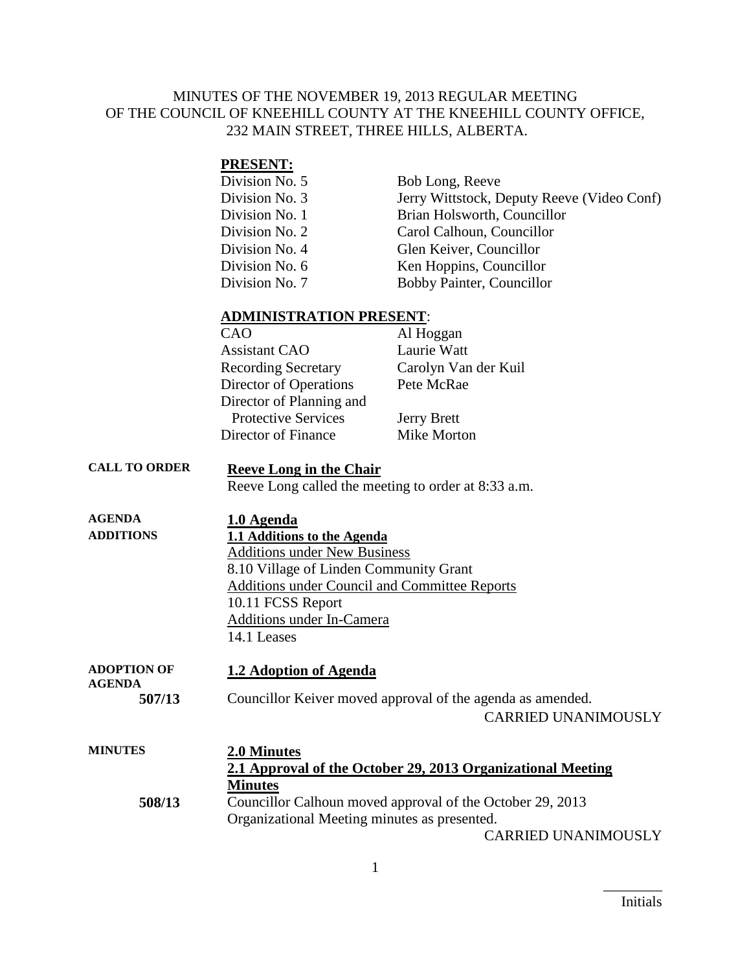#### MINUTES OF THE NOVEMBER 19, 2013 REGULAR MEETING OF THE COUNCIL OF KNEEHILL COUNTY AT THE KNEEHILL COUNTY OFFICE, 232 MAIN STREET, THREE HILLS, ALBERTA.

#### **PRESENT:**

| Division No. 5 | Bob Long, Reeve                            |
|----------------|--------------------------------------------|
| Division No. 3 | Jerry Wittstock, Deputy Reeve (Video Conf) |
| Division No. 1 | Brian Holsworth, Councillor                |
| Division No. 2 | Carol Calhoun, Councillor                  |
| Division No. 4 | Glen Keiver, Councillor                    |
| Division No. 6 | Ken Hoppins, Councillor                    |
| Division No. 7 | Bobby Painter, Councillor                  |

#### **ADMINISTRATION PRESENT**:

| CAO                        | Al Hoggan            |
|----------------------------|----------------------|
| <b>Assistant CAO</b>       | Laurie Watt          |
| <b>Recording Secretary</b> | Carolyn Van der Kuil |
| Director of Operations     | Pete McRae           |
| Director of Planning and   |                      |
| <b>Protective Services</b> | <b>Jerry Brett</b>   |
| Director of Finance        | Mike Morton          |

#### **CALL TO ORDER Reeve Long in the Chair**

Reeve Long called the meeting to order at 8:33 a.m.

| <b>AGENDA</b>    | 1.0 Agenda                                           |
|------------------|------------------------------------------------------|
| <b>ADDITIONS</b> | 1.1 Additions to the Agenda                          |
|                  | <b>Additions under New Business</b>                  |
|                  | 8.10 Village of Linden Community Grant               |
|                  | <b>Additions under Council and Committee Reports</b> |
|                  | 10.11 FCSS Report                                    |
|                  | Additions under In-Camera                            |
|                  | 14.1 Leases                                          |
|                  |                                                      |

#### **ADOPTION OF AGENDA 1.2 Adoption of Agenda 507/13** Councillor Keiver moved approval of the agenda as amended.

CARRIED UNANIMOUSLY

| <b>MINUTES</b> | 2.0 Minutes                                                 |
|----------------|-------------------------------------------------------------|
|                | 2.1 Approval of the October 29, 2013 Organizational Meeting |
|                | <b>Minutes</b>                                              |
| 508/13         | Councillor Calhoun moved approval of the October 29, 2013   |
|                | Organizational Meeting minutes as presented.                |
|                | <b>CARRIED UNANIMOUSLY</b>                                  |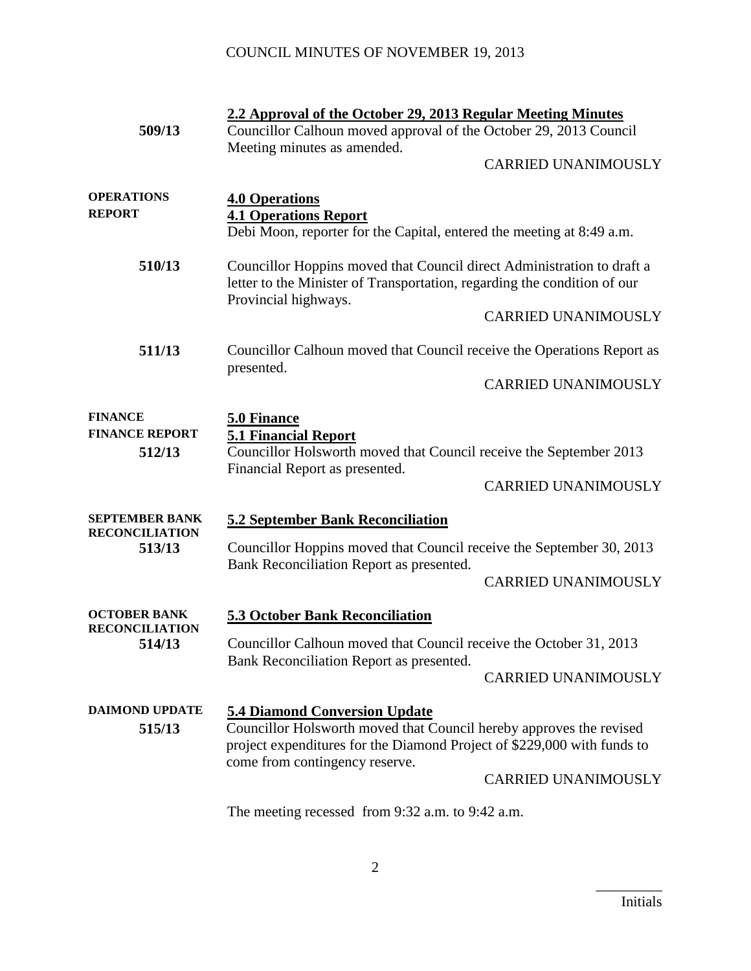|                                                   | 2.2 Approval of the October 29, 2013 Regular Meeting Minutes                                                                                                                                                             |                            |
|---------------------------------------------------|--------------------------------------------------------------------------------------------------------------------------------------------------------------------------------------------------------------------------|----------------------------|
| 509/13                                            | Councillor Calhoun moved approval of the October 29, 2013 Council                                                                                                                                                        |                            |
|                                                   | Meeting minutes as amended.                                                                                                                                                                                              |                            |
|                                                   |                                                                                                                                                                                                                          | <b>CARRIED UNANIMOUSLY</b> |
| <b>OPERATIONS</b><br><b>REPORT</b>                | <b>4.0 Operations</b><br><b>4.1 Operations Report</b><br>Debi Moon, reporter for the Capital, entered the meeting at 8:49 a.m.                                                                                           |                            |
|                                                   |                                                                                                                                                                                                                          |                            |
| 510/13                                            | Councillor Hoppins moved that Council direct Administration to draft a<br>letter to the Minister of Transportation, regarding the condition of our<br>Provincial highways.                                               |                            |
|                                                   |                                                                                                                                                                                                                          | <b>CARRIED UNANIMOUSLY</b> |
| 511/13                                            | Councillor Calhoun moved that Council receive the Operations Report as<br>presented.                                                                                                                                     |                            |
|                                                   |                                                                                                                                                                                                                          | <b>CARRIED UNANIMOUSLY</b> |
| <b>FINANCE</b><br><b>FINANCE REPORT</b><br>512/13 | 5.0 Finance<br><b>5.1 Financial Report</b><br>Councillor Holsworth moved that Council receive the September 2013<br>Financial Report as presented.                                                                       | <b>CARRIED UNANIMOUSLY</b> |
| <b>SEPTEMBER BANK</b>                             | <b>5.2 September Bank Reconciliation</b>                                                                                                                                                                                 |                            |
| <b>RECONCILIATION</b><br>513/13                   | Councillor Hoppins moved that Council receive the September 30, 2013<br>Bank Reconciliation Report as presented.                                                                                                         |                            |
|                                                   |                                                                                                                                                                                                                          | <b>CARRIED UNANIMOUSLY</b> |
| <b>OCTOBER BANK</b><br><b>RECONCILIATION</b>      | <b>5.3 October Bank Reconciliation</b>                                                                                                                                                                                   |                            |
| 514/13                                            | Councillor Calhoun moved that Council receive the October 31, 2013<br>Bank Reconciliation Report as presented.                                                                                                           |                            |
|                                                   |                                                                                                                                                                                                                          | <b>CARRIED UNANIMOUSLY</b> |
| <b>DAIMOND UPDATE</b><br>515/13                   | <b>5.4 Diamond Conversion Update</b><br>Councillor Holsworth moved that Council hereby approves the revised<br>project expenditures for the Diamond Project of \$229,000 with funds to<br>come from contingency reserve. |                            |
|                                                   |                                                                                                                                                                                                                          | <b>CARRIED UNANIMOUSLY</b> |
|                                                   | The meeting recessed from 9:32 a.m. to 9:42 a.m.                                                                                                                                                                         |                            |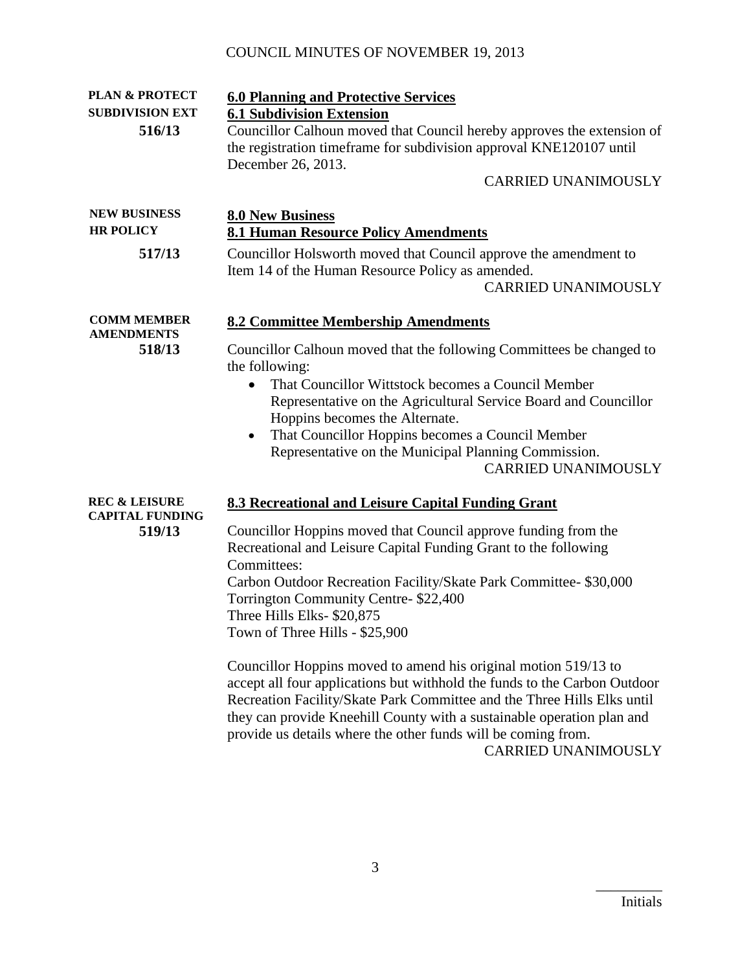| <b>PLAN &amp; PROTECT</b>                                    | <b>6.0 Planning and Protective Services</b>                                                                                                                                                                                                                                                                                                                                                                           |
|--------------------------------------------------------------|-----------------------------------------------------------------------------------------------------------------------------------------------------------------------------------------------------------------------------------------------------------------------------------------------------------------------------------------------------------------------------------------------------------------------|
| <b>SUBDIVISION EXT</b><br>516/13                             | <b>6.1 Subdivision Extension</b><br>Councillor Calhoun moved that Council hereby approves the extension of<br>the registration timeframe for subdivision approval KNE120107 until<br>December 26, 2013.                                                                                                                                                                                                               |
|                                                              | <b>CARRIED UNANIMOUSLY</b>                                                                                                                                                                                                                                                                                                                                                                                            |
| <b>NEW BUSINESS</b><br><b>HR POLICY</b>                      | <b>8.0 New Business</b><br><b>8.1 Human Resource Policy Amendments</b>                                                                                                                                                                                                                                                                                                                                                |
| 517/13                                                       | Councillor Holsworth moved that Council approve the amendment to<br>Item 14 of the Human Resource Policy as amended.<br><b>CARRIED UNANIMOUSLY</b>                                                                                                                                                                                                                                                                    |
| <b>COMM MEMBER</b><br><b>AMENDMENTS</b>                      | 8.2 Committee Membership Amendments                                                                                                                                                                                                                                                                                                                                                                                   |
| 518/13                                                       | Councillor Calhoun moved that the following Committees be changed to<br>the following:<br>That Councillor Wittstock becomes a Council Member<br>$\bullet$<br>Representative on the Agricultural Service Board and Councillor<br>Hoppins becomes the Alternate.<br>That Councillor Hoppins becomes a Council Member<br>$\bullet$<br>Representative on the Municipal Planning Commission.<br><b>CARRIED UNANIMOUSLY</b> |
| <b>REC &amp; LEISURE</b><br><b>CAPITAL FUNDING</b><br>519/13 | 8.3 Recreational and Leisure Capital Funding Grant<br>Councillor Hoppins moved that Council approve funding from the<br>Recreational and Leisure Capital Funding Grant to the following<br>Committees:                                                                                                                                                                                                                |
|                                                              | Carbon Outdoor Recreation Facility/Skate Park Committee-\$30,000<br>Torrington Community Centre-\$22,400<br>Three Hills Elks-\$20,875<br>Town of Three Hills - \$25,900                                                                                                                                                                                                                                               |
|                                                              | Councillor Hoppins moved to amend his original motion 519/13 to<br>accept all four applications but withhold the funds to the Carbon Outdoor<br>Recreation Facility/Skate Park Committee and the Three Hills Elks until<br>they can provide Kneehill County with a sustainable operation plan and<br>provide us details where the other funds will be coming from.<br><b>CARRIED UNANIMOUSLY</b>                      |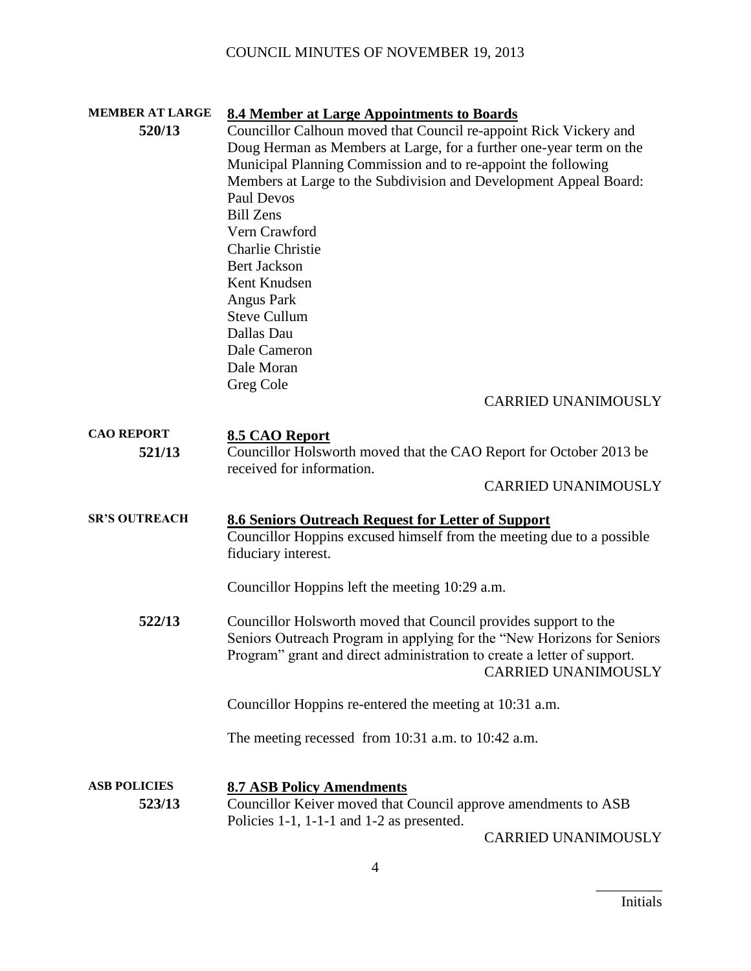| <b>MEMBER AT LARGE</b> | <b>8.4 Member at Large Appointments to Boards</b>                       |
|------------------------|-------------------------------------------------------------------------|
| 520/13                 | Councillor Calhoun moved that Council re-appoint Rick Vickery and       |
|                        | Doug Herman as Members at Large, for a further one-year term on the     |
|                        | Municipal Planning Commission and to re-appoint the following           |
|                        | Members at Large to the Subdivision and Development Appeal Board:       |
|                        | Paul Devos                                                              |
|                        |                                                                         |
|                        | <b>Bill Zens</b>                                                        |
|                        | Vern Crawford                                                           |
|                        | <b>Charlie Christie</b>                                                 |
|                        | <b>Bert Jackson</b>                                                     |
|                        | Kent Knudsen                                                            |
|                        | <b>Angus Park</b>                                                       |
|                        | <b>Steve Cullum</b>                                                     |
|                        | Dallas Dau                                                              |
|                        | Dale Cameron                                                            |
|                        | Dale Moran                                                              |
|                        | Greg Cole                                                               |
|                        | <b>CARRIED UNANIMOUSLY</b>                                              |
|                        |                                                                         |
| <b>CAO REPORT</b>      | 8.5 CAO Report                                                          |
| 521/13                 |                                                                         |
|                        | Councillor Holsworth moved that the CAO Report for October 2013 be      |
|                        | received for information.                                               |
|                        | <b>CARRIED UNANIMOUSLY</b>                                              |
| <b>SR'S OUTREACH</b>   |                                                                         |
|                        | <b>8.6 Seniors Outreach Request for Letter of Support</b>               |
|                        | Councillor Hoppins excused himself from the meeting due to a possible   |
|                        | fiduciary interest.                                                     |
|                        |                                                                         |
|                        | Councillor Hoppins left the meeting 10:29 a.m.                          |
|                        |                                                                         |
| 522/13                 | Councillor Holsworth moved that Council provides support to the         |
|                        | Seniors Outreach Program in applying for the "New Horizons for Seniors" |
|                        | Program" grant and direct administration to create a letter of support. |
|                        | <b>CARRIED UNANIMOUSLY</b>                                              |
|                        |                                                                         |
|                        | Councillor Hoppins re-entered the meeting at 10:31 a.m.                 |
|                        |                                                                         |
|                        | The meeting recessed from $10:31$ a.m. to $10:42$ a.m.                  |
|                        |                                                                         |
| <b>ASB POLICIES</b>    | <b>8.7 ASB Policy Amendments</b>                                        |
| 523/13                 | Councillor Keiver moved that Council approve amendments to ASB          |
|                        | Policies $1-1$ , $1-1-1$ and $1-2$ as presented.                        |
|                        |                                                                         |
|                        | CARRIED UNANIMOUSLY                                                     |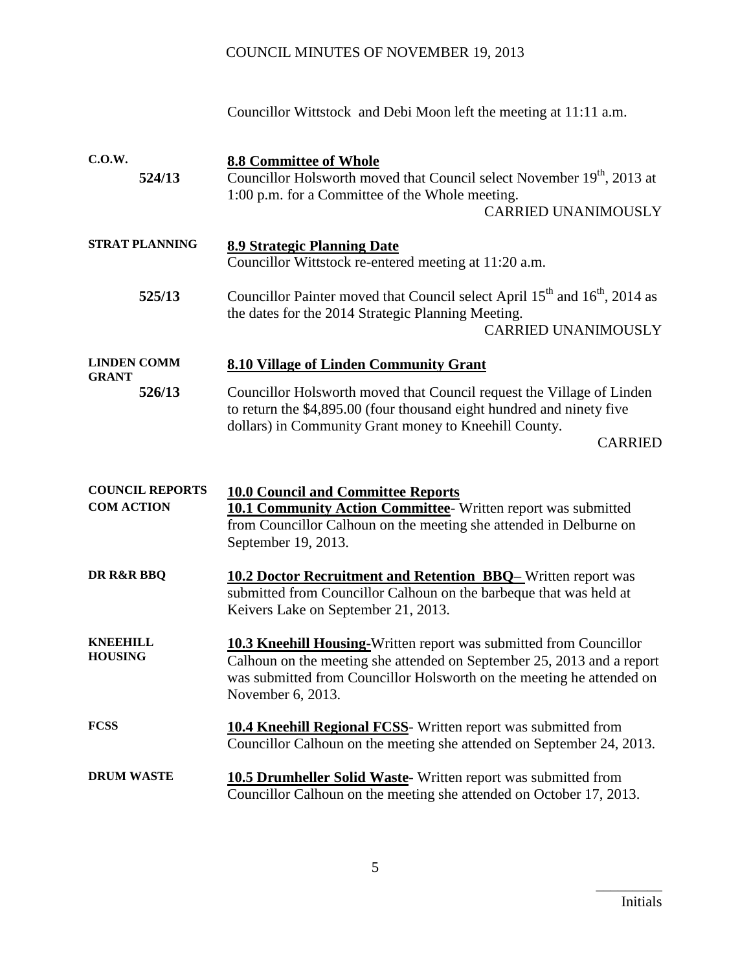Councillor Wittstock and Debi Moon left the meeting at 11:11 a.m.

| C.0.W.                                      | 8.8 Committee of Whole                                                                                                                                                                                                                            |
|---------------------------------------------|---------------------------------------------------------------------------------------------------------------------------------------------------------------------------------------------------------------------------------------------------|
| 524/13                                      | Councillor Holsworth moved that Council select November 19 <sup>th</sup> , 2013 at<br>1:00 p.m. for a Committee of the Whole meeting.<br><b>CARRIED UNANIMOUSLY</b>                                                                               |
|                                             |                                                                                                                                                                                                                                                   |
| <b>STRAT PLANNING</b>                       | <b>8.9 Strategic Planning Date</b><br>Councillor Wittstock re-entered meeting at 11:20 a.m.                                                                                                                                                       |
| 525/13                                      | Councillor Painter moved that Council select April 15 <sup>th</sup> and 16 <sup>th</sup> , 2014 as<br>the dates for the 2014 Strategic Planning Meeting.<br><b>CARRIED UNANIMOUSLY</b>                                                            |
| <b>LINDEN COMM</b><br><b>GRANT</b>          | <b>8.10 Village of Linden Community Grant</b>                                                                                                                                                                                                     |
| 526/13                                      | Councillor Holsworth moved that Council request the Village of Linden<br>to return the \$4,895.00 (four thousand eight hundred and ninety five<br>dollars) in Community Grant money to Kneehill County.<br><b>CARRIED</b>                         |
| <b>COUNCIL REPORTS</b><br><b>COM ACTION</b> | <b>10.0 Council and Committee Reports</b><br><b>10.1 Community Action Committee</b> - Written report was submitted<br>from Councillor Calhoun on the meeting she attended in Delburne on<br>September 19, 2013.                                   |
| DR R&R BBQ                                  | <b>10.2 Doctor Recruitment and Retention BBQ-</b> Written report was<br>submitted from Councillor Calhoun on the barbeque that was held at<br>Keivers Lake on September 21, 2013.                                                                 |
| <b>KNEEHILL</b><br><b>HOUSING</b>           | <b>10.3 Kneehill Housing-Written report was submitted from Councillor</b><br>Calhoun on the meeting she attended on September 25, 2013 and a report<br>was submitted from Councillor Holsworth on the meeting he attended on<br>November 6, 2013. |
| <b>FCSS</b>                                 | <b>10.4 Kneehill Regional FCSS</b> - Written report was submitted from<br>Councillor Calhoun on the meeting she attended on September 24, 2013.                                                                                                   |
| <b>DRUM WASTE</b>                           | <b>10.5 Drumheller Solid Waste-</b> Written report was submitted from<br>Councillor Calhoun on the meeting she attended on October 17, 2013.                                                                                                      |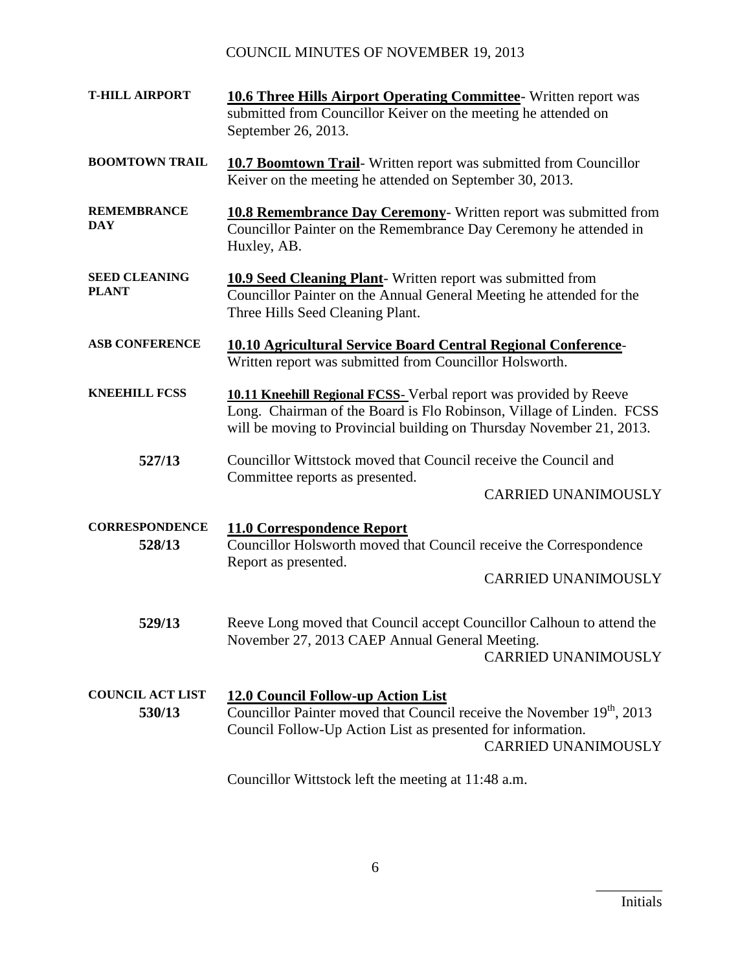| <b>T-HILL AIRPORT</b>                | <b>10.6 Three Hills Airport Operating Committee-</b> Written report was<br>submitted from Councillor Keiver on the meeting he attended on<br>September 26, 2013.                                                             |
|--------------------------------------|------------------------------------------------------------------------------------------------------------------------------------------------------------------------------------------------------------------------------|
| <b>BOOMTOWN TRAIL</b>                | <b>10.7 Boomtown Trail-</b> Written report was submitted from Councillor<br>Keiver on the meeting he attended on September 30, 2013.                                                                                         |
| <b>REMEMBRANCE</b><br><b>DAY</b>     | <b>10.8 Remembrance Day Ceremony</b> - Written report was submitted from<br>Councillor Painter on the Remembrance Day Ceremony he attended in<br>Huxley, AB.                                                                 |
| <b>SEED CLEANING</b><br><b>PLANT</b> | <b>10.9 Seed Cleaning Plant</b> -Written report was submitted from<br>Councillor Painter on the Annual General Meeting he attended for the<br>Three Hills Seed Cleaning Plant.                                               |
| <b>ASB CONFERENCE</b>                | 10.10 Agricultural Service Board Central Regional Conference-<br>Written report was submitted from Councillor Holsworth.                                                                                                     |
| <b>KNEEHILL FCSS</b>                 | <b>10.11 Kneehill Regional FCSS-</b> Verbal report was provided by Reeve<br>Long. Chairman of the Board is Flo Robinson, Village of Linden. FCSS<br>will be moving to Provincial building on Thursday November 21, 2013.     |
| 527/13                               | Councillor Wittstock moved that Council receive the Council and<br>Committee reports as presented.<br><b>CARRIED UNANIMOUSLY</b>                                                                                             |
| <b>CORRESPONDENCE</b><br>528/13      | 11.0 Correspondence Report<br>Councillor Holsworth moved that Council receive the Correspondence<br>Report as presented.<br><b>CARRIED UNANIMOUSLY</b>                                                                       |
| 529/13                               | Reeve Long moved that Council accept Councillor Calhoun to attend the<br>November 27, 2013 CAEP Annual General Meeting.<br><b>CARRIED UNANIMOUSLY</b>                                                                        |
| <b>COUNCIL ACT LIST</b><br>530/13    | <b>12.0 Council Follow-up Action List</b><br>Councillor Painter moved that Council receive the November 19 <sup>th</sup> , 2013<br>Council Follow-Up Action List as presented for information.<br><b>CARRIED UNANIMOUSLY</b> |

Councillor Wittstock left the meeting at 11:48 a.m.